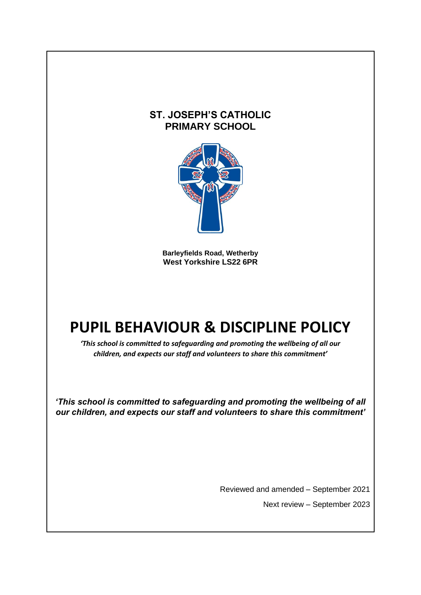# **ST. JOSEPH'S CATHOLIC PRIMARY SCHOOL**



**Barleyfields Road, Wetherby West Yorkshire LS22 6PR**

# **PUPIL BEHAVIOUR & DISCIPLINE POLICY**

*'This school is committed to safeguarding and promoting the wellbeing of all our children, and expects our staff and volunteers to share this commitment'*

*'This school is committed to safeguarding and promoting the wellbeing of all our children, and expects our staff and volunteers to share this commitment'*

Reviewed and amended – September 2021

Next review – September 2023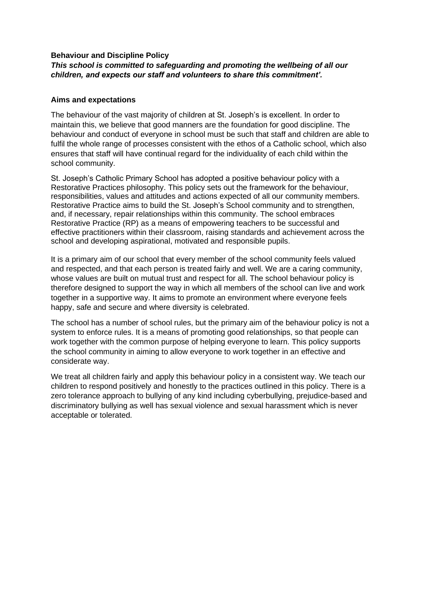# **Behaviour and Discipline Policy**

# *This school is committed to safeguarding and promoting the wellbeing of all our children, and expects our staff and volunteers to share this commitment'.*

# **Aims and expectations**

The behaviour of the vast majority of children at St. Joseph's is excellent. In order to maintain this, we believe that good manners are the foundation for good discipline. The behaviour and conduct of everyone in school must be such that staff and children are able to fulfil the whole range of processes consistent with the ethos of a Catholic school, which also ensures that staff will have continual regard for the individuality of each child within the school community.

St. Joseph's Catholic Primary School has adopted a positive behaviour policy with a Restorative Practices philosophy. This policy sets out the framework for the behaviour, responsibilities, values and attitudes and actions expected of all our community members. Restorative Practice aims to build the St. Joseph's School community and to strengthen, and, if necessary, repair relationships within this community. The school embraces Restorative Practice (RP) as a means of empowering teachers to be successful and effective practitioners within their classroom, raising standards and achievement across the school and developing aspirational, motivated and responsible pupils.

It is a primary aim of our school that every member of the school community feels valued and respected, and that each person is treated fairly and well. We are a caring community, whose values are built on mutual trust and respect for all. The school behaviour policy is therefore designed to support the way in which all members of the school can live and work together in a supportive way. It aims to promote an environment where everyone feels happy, safe and secure and where diversity is celebrated.

The school has a number of school rules, but the primary aim of the behaviour policy is not a system to enforce rules. It is a means of promoting good relationships, so that people can work together with the common purpose of helping everyone to learn. This policy supports the school community in aiming to allow everyone to work together in an effective and considerate way.

We treat all children fairly and apply this behaviour policy in a consistent way. We teach our children to respond positively and honestly to the practices outlined in this policy. There is a zero tolerance approach to bullying of any kind including cyberbullying, prejudice-based and discriminatory bullying as well has sexual violence and sexual harassment which is never acceptable or tolerated.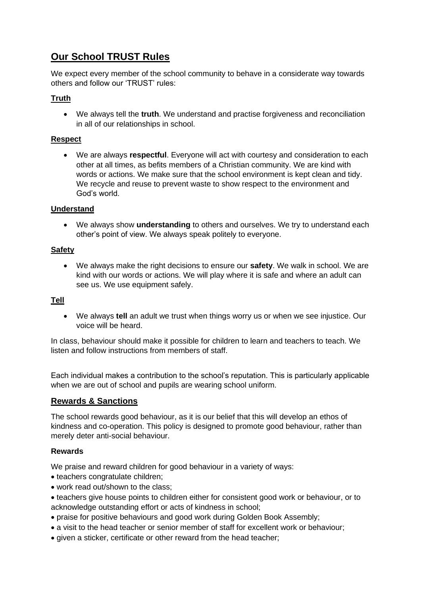# **Our School TRUST Rules**

We expect every member of the school community to behave in a considerate way towards others and follow our 'TRUST' rules:

# **Truth**

• We always tell the **truth**. We understand and practise forgiveness and reconciliation in all of our relationships in school.

# **Respect**

• We are always **respectful**. Everyone will act with courtesy and consideration to each other at all times, as befits members of a Christian community. We are kind with words or actions. We make sure that the school environment is kept clean and tidy. We recycle and reuse to prevent waste to show respect to the environment and God's world.

# **Understand**

• We always show **understanding** to others and ourselves. We try to understand each other's point of view. We always speak politely to everyone.

# **Safety**

• We always make the right decisions to ensure our **safety**. We walk in school. We are kind with our words or actions. We will play where it is safe and where an adult can see us. We use equipment safely.

# **Tell**

• We always **tell** an adult we trust when things worry us or when we see injustice. Our voice will be heard.

In class, behaviour should make it possible for children to learn and teachers to teach. We listen and follow instructions from members of staff.

Each individual makes a contribution to the school's reputation. This is particularly applicable when we are out of school and pupils are wearing school uniform.

# **Rewards & Sanctions**

The school rewards good behaviour, as it is our belief that this will develop an ethos of kindness and co-operation. This policy is designed to promote good behaviour, rather than merely deter anti-social behaviour.

# **Rewards**

We praise and reward children for good behaviour in a variety of ways:

- teachers congratulate children;
- work read out/shown to the class;
- teachers give house points to children either for consistent good work or behaviour, or to acknowledge outstanding effort or acts of kindness in school;
- praise for positive behaviours and good work during Golden Book Assembly;
- a visit to the head teacher or senior member of staff for excellent work or behaviour;
- given a sticker, certificate or other reward from the head teacher;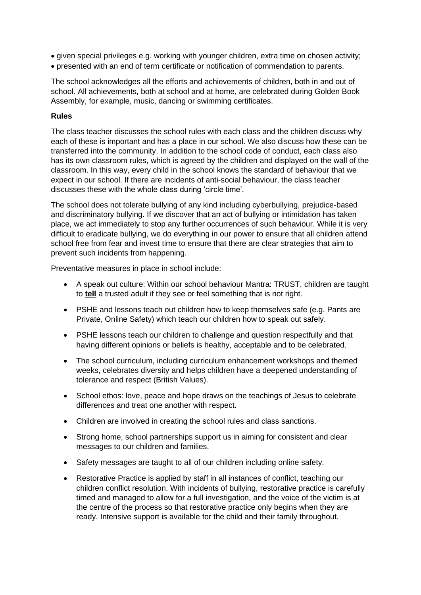- given special privileges e.g. working with younger children, extra time on chosen activity;
- presented with an end of term certificate or notification of commendation to parents.

The school acknowledges all the efforts and achievements of children, both in and out of school. All achievements, both at school and at home, are celebrated during Golden Book Assembly, for example, music, dancing or swimming certificates.

# **Rules**

The class teacher discusses the school rules with each class and the children discuss why each of these is important and has a place in our school. We also discuss how these can be transferred into the community. In addition to the school code of conduct, each class also has its own classroom rules, which is agreed by the children and displayed on the wall of the classroom. In this way, every child in the school knows the standard of behaviour that we expect in our school. If there are incidents of anti-social behaviour, the class teacher discusses these with the whole class during 'circle time'.

The school does not tolerate bullying of any kind including cyberbullying, prejudice-based and discriminatory bullying. If we discover that an act of bullying or intimidation has taken place, we act immediately to stop any further occurrences of such behaviour. While it is very difficult to eradicate bullying, we do everything in our power to ensure that all children attend school free from fear and invest time to ensure that there are clear strategies that aim to prevent such incidents from happening.

Preventative measures in place in school include:

- A speak out culture: Within our school behaviour Mantra: TRUST, children are taught to **tell** a trusted adult if they see or feel something that is not right.
- PSHE and lessons teach out children how to keep themselves safe (e.g. Pants are Private, Online Safety) which teach our children how to speak out safely.
- PSHE lessons teach our children to challenge and question respectfully and that having different opinions or beliefs is healthy, acceptable and to be celebrated.
- The school curriculum, including curriculum enhancement workshops and themed weeks, celebrates diversity and helps children have a deepened understanding of tolerance and respect (British Values).
- School ethos: love, peace and hope draws on the teachings of Jesus to celebrate differences and treat one another with respect.
- Children are involved in creating the school rules and class sanctions.
- Strong home, school partnerships support us in aiming for consistent and clear messages to our children and families.
- Safety messages are taught to all of our children including online safety.
- Restorative Practice is applied by staff in all instances of conflict, teaching our children conflict resolution. With incidents of bullying, restorative practice is carefully timed and managed to allow for a full investigation, and the voice of the victim is at the centre of the process so that restorative practice only begins when they are ready. Intensive support is available for the child and their family throughout.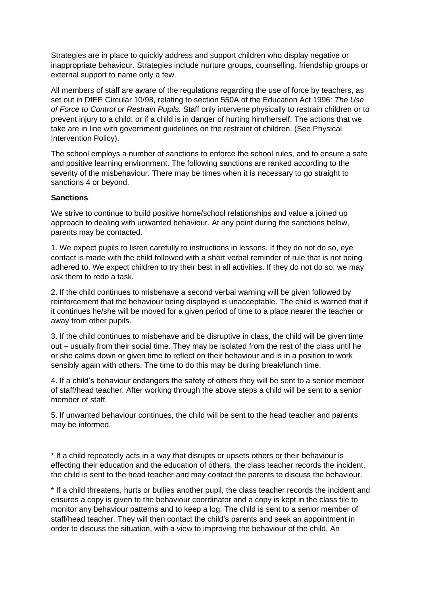Strategies are in place to quickly address and support children who display negative or inappropriate behaviour. Strategies include nurture groups, counselling, friendship groups or external support to name only a few.

All members of staff are aware of the regulations regarding the use of force by teachers, as set out in DfEE Circular 10/98, relating to section 550A of the Education Act 1996: *The Use of Force to Control or Restrain Pupils.* Staff only intervene physically to restrain children or to prevent injury to a child, or if a child is in danger of hurting him/herself. The actions that we take are in line with government guidelines on the restraint of children. (See Physical Intervention Policy).

The school employs a number of sanctions to enforce the school rules, and to ensure a safe and positive learning environment. The following sanctions are ranked according to the severity of the misbehaviour. There may be times when it is necessary to go straight to sanctions 4 or beyond.

#### **Sanctions**

We strive to continue to build positive home/school relationships and value a joined up approach to dealing with unwanted behaviour. At any point during the sanctions below, parents may be contacted.

1. We expect pupils to listen carefully to instructions in lessons. If they do not do so, eye contact is made with the child followed with a short verbal reminder of rule that is not being adhered to. We expect children to try their best in all activities. If they do not do so, we may ask them to redo a task.

2. If the child continues to misbehave a second verbal warning will be given followed by reinforcement that the behaviour being displayed is unacceptable. The child is warned that if it continues he/she will be moved for a given period of time to a place nearer the teacher or away from other pupils.

3. If the child continues to misbehave and be disruptive in class, the child will be given time out – usually from their social time. They may be isolated from the rest of the class until he or she calms down or given time to reflect on their behaviour and is in a position to work sensibly again with others. The time to do this may be during break/lunch time.

4. If a child's behaviour endangers the safety of others they will be sent to a senior member of staff/head teacher. After working through the above steps a child will be sent to a senior member of staff.

5. If unwanted behaviour continues, the child will be sent to the head teacher and parents may be informed.

\* If a child repeatedly acts in a way that disrupts or upsets others or their behaviour is effecting their education and the education of others, the class teacher records the incident, the child is sent to the head teacher and may contact the parents to discuss the behaviour.

\* If a child threatens, hurts or bullies another pupil, the class teacher records the incident and ensures a copy is given to the behaviour coordinator and a copy is kept in the class file to monitor any behaviour patterns and to keep a log. The child is sent to a senior member of staff/head teacher. They will then contact the child's parents and seek an appointment in order to discuss the situation, with a view to improving the behaviour of the child. An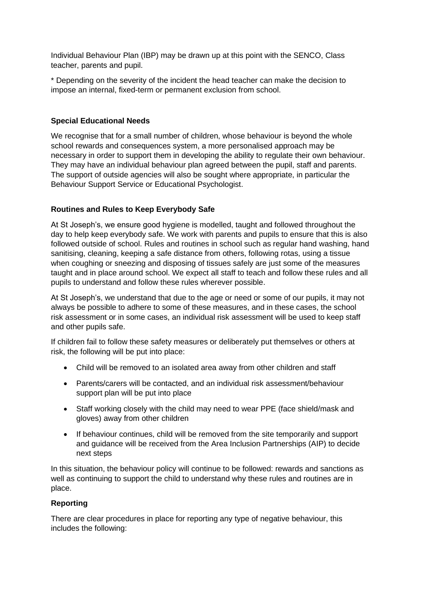Individual Behaviour Plan (IBP) may be drawn up at this point with the SENCO, Class teacher, parents and pupil.

\* Depending on the severity of the incident the head teacher can make the decision to impose an internal, fixed-term or permanent exclusion from school.

# **Special Educational Needs**

We recognise that for a small number of children, whose behaviour is beyond the whole school rewards and consequences system, a more personalised approach may be necessary in order to support them in developing the ability to regulate their own behaviour. They may have an individual behaviour plan agreed between the pupil, staff and parents. The support of outside agencies will also be sought where appropriate, in particular the Behaviour Support Service or Educational Psychologist.

# **Routines and Rules to Keep Everybody Safe**

At St Joseph's, we ensure good hygiene is modelled, taught and followed throughout the day to help keep everybody safe. We work with parents and pupils to ensure that this is also followed outside of school. Rules and routines in school such as regular hand washing, hand sanitising, cleaning, keeping a safe distance from others, following rotas, using a tissue when coughing or sneezing and disposing of tissues safely are just some of the measures taught and in place around school. We expect all staff to teach and follow these rules and all pupils to understand and follow these rules wherever possible.

At St Joseph's, we understand that due to the age or need or some of our pupils, it may not always be possible to adhere to some of these measures, and in these cases, the school risk assessment or in some cases, an individual risk assessment will be used to keep staff and other pupils safe.

If children fail to follow these safety measures or deliberately put themselves or others at risk, the following will be put into place:

- Child will be removed to an isolated area away from other children and staff
- Parents/carers will be contacted, and an individual risk assessment/behaviour support plan will be put into place
- Staff working closely with the child may need to wear PPE (face shield/mask and gloves) away from other children
- If behaviour continues, child will be removed from the site temporarily and support and guidance will be received from the Area Inclusion Partnerships (AIP) to decide next steps

In this situation, the behaviour policy will continue to be followed: rewards and sanctions as well as continuing to support the child to understand why these rules and routines are in place.

# **Reporting**

There are clear procedures in place for reporting any type of negative behaviour, this includes the following: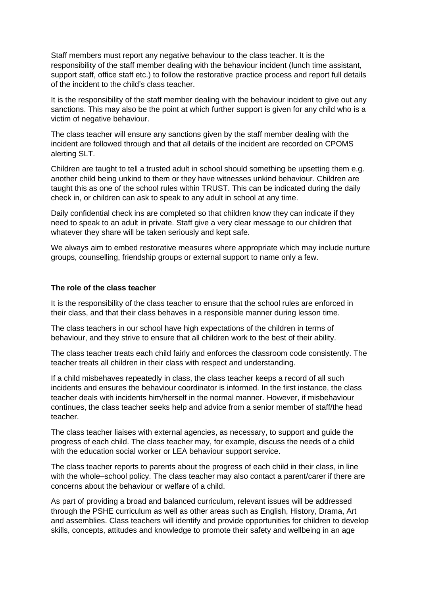Staff members must report any negative behaviour to the class teacher. It is the responsibility of the staff member dealing with the behaviour incident (lunch time assistant, support staff, office staff etc.) to follow the restorative practice process and report full details of the incident to the child's class teacher.

It is the responsibility of the staff member dealing with the behaviour incident to give out any sanctions. This may also be the point at which further support is given for any child who is a victim of negative behaviour.

The class teacher will ensure any sanctions given by the staff member dealing with the incident are followed through and that all details of the incident are recorded on CPOMS alerting SLT.

Children are taught to tell a trusted adult in school should something be upsetting them e.g. another child being unkind to them or they have witnesses unkind behaviour. Children are taught this as one of the school rules within TRUST. This can be indicated during the daily check in, or children can ask to speak to any adult in school at any time.

Daily confidential check ins are completed so that children know they can indicate if they need to speak to an adult in private. Staff give a very clear message to our children that whatever they share will be taken seriously and kept safe.

We always aim to embed restorative measures where appropriate which may include nurture groups, counselling, friendship groups or external support to name only a few.

#### **The role of the class teacher**

It is the responsibility of the class teacher to ensure that the school rules are enforced in their class, and that their class behaves in a responsible manner during lesson time.

The class teachers in our school have high expectations of the children in terms of behaviour, and they strive to ensure that all children work to the best of their ability.

The class teacher treats each child fairly and enforces the classroom code consistently. The teacher treats all children in their class with respect and understanding.

If a child misbehaves repeatedly in class, the class teacher keeps a record of all such incidents and ensures the behaviour coordinator is informed. In the first instance, the class teacher deals with incidents him/herself in the normal manner. However, if misbehaviour continues, the class teacher seeks help and advice from a senior member of staff/the head teacher.

The class teacher liaises with external agencies, as necessary, to support and guide the progress of each child. The class teacher may, for example, discuss the needs of a child with the education social worker or LEA behaviour support service.

The class teacher reports to parents about the progress of each child in their class, in line with the whole–school policy. The class teacher may also contact a parent/carer if there are concerns about the behaviour or welfare of a child.

As part of providing a broad and balanced curriculum, relevant issues will be addressed through the PSHE curriculum as well as other areas such as English, History, Drama, Art and assemblies. Class teachers will identify and provide opportunities for children to develop skills, concepts, attitudes and knowledge to promote their safety and wellbeing in an age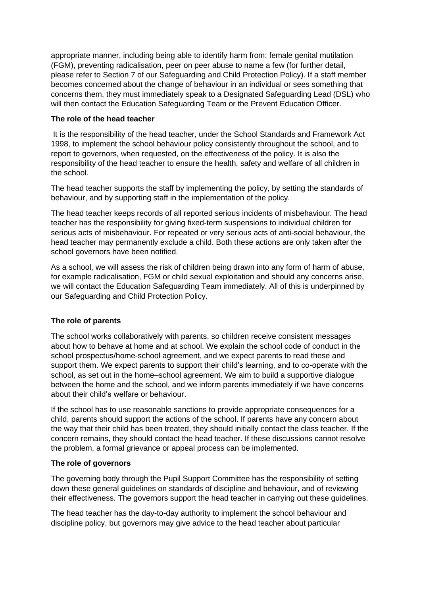appropriate manner, including being able to identify harm from: female genital mutilation (FGM), preventing radicalisation, peer on peer abuse to name a few (for further detail, please refer to Section 7 of our Safeguarding and Child Protection Policy). If a staff member becomes concerned about the change of behaviour in an individual or sees something that concerns them, they must immediately speak to a Designated Safeguarding Lead (DSL) who will then contact the Education Safeguarding Team or the Prevent Education Officer.

# **The role of the head teacher**

It is the responsibility of the head teacher, under the School Standards and Framework Act 1998, to implement the school behaviour policy consistently throughout the school, and to report to governors, when requested, on the effectiveness of the policy. It is also the responsibility of the head teacher to ensure the health, safety and welfare of all children in the school.

The head teacher supports the staff by implementing the policy, by setting the standards of behaviour, and by supporting staff in the implementation of the policy.

The head teacher keeps records of all reported serious incidents of misbehaviour. The head teacher has the responsibility for giving fixed-term suspensions to individual children for serious acts of misbehaviour. For repeated or very serious acts of anti-social behaviour, the head teacher may permanently exclude a child. Both these actions are only taken after the school governors have been notified.

As a school, we will assess the risk of children being drawn into any form of harm of abuse, for example radicalisation, FGM or child sexual exploitation and should any concerns arise, we will contact the Education Safeguarding Team immediately. All of this is underpinned by our Safeguarding and Child Protection Policy.

# **The role of parents**

The school works collaboratively with parents, so children receive consistent messages about how to behave at home and at school. We explain the school code of conduct in the school prospectus/home-school agreement, and we expect parents to read these and support them. We expect parents to support their child's learning, and to co-operate with the school, as set out in the home–school agreement. We aim to build a supportive dialogue between the home and the school, and we inform parents immediately if we have concerns about their child's welfare or behaviour.

If the school has to use reasonable sanctions to provide appropriate consequences for a child, parents should support the actions of the school. If parents have any concern about the way that their child has been treated, they should initially contact the class teacher. If the concern remains, they should contact the head teacher. If these discussions cannot resolve the problem, a formal grievance or appeal process can be implemented.

# **The role of governors**

The governing body through the Pupil Support Committee has the responsibility of setting down these general guidelines on standards of discipline and behaviour, and of reviewing their effectiveness. The governors support the head teacher in carrying out these guidelines.

The head teacher has the day-to-day authority to implement the school behaviour and discipline policy, but governors may give advice to the head teacher about particular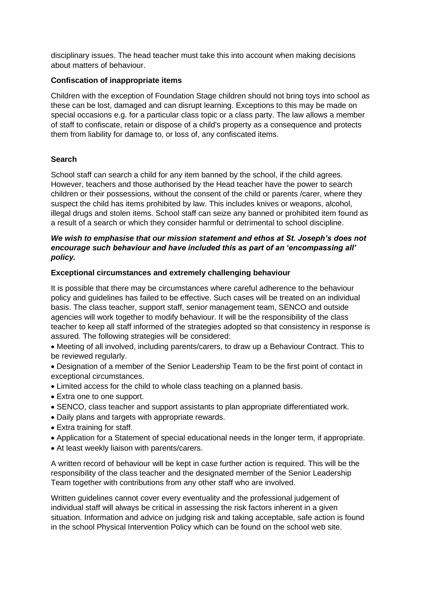disciplinary issues. The head teacher must take this into account when making decisions about matters of behaviour.

# **Confiscation of inappropriate items**

Children with the exception of Foundation Stage children should not bring toys into school as these can be lost, damaged and can disrupt learning. Exceptions to this may be made on special occasions e.g. for a particular class topic or a class party. The law allows a member of staff to confiscate, retain or dispose of a child's property as a consequence and protects them from liability for damage to, or loss of, any confiscated items.

# **Search**

School staff can search a child for any item banned by the school, if the child agrees. However, teachers and those authorised by the Head teacher have the power to search children or their possessions, without the consent of the child or parents /carer, where they suspect the child has items prohibited by law. This includes knives or weapons, alcohol, illegal drugs and stolen items. School staff can seize any banned or prohibited item found as a result of a search or which they consider harmful or detrimental to school discipline.

# *We wish to emphasise that our mission statement and ethos at St. Joseph's does not encourage such behaviour and have included this as part of an 'encompassing all' policy.*

# **Exceptional circumstances and extremely challenging behaviour**

It is possible that there may be circumstances where careful adherence to the behaviour policy and guidelines has failed to be effective. Such cases will be treated on an individual basis. The class teacher, support staff, senior management team, SENCO and outside agencies will work together to modify behaviour. It will be the responsibility of the class teacher to keep all staff informed of the strategies adopted so that consistency in response is assured. The following strategies will be considered:

• Meeting of all involved, including parents/carers, to draw up a Behaviour Contract. This to be reviewed regularly.

- Designation of a member of the Senior Leadership Team to be the first point of contact in exceptional circumstances.
- Limited access for the child to whole class teaching on a planned basis.
- Extra one to one support.
- SENCO, class teacher and support assistants to plan appropriate differentiated work.
- Daily plans and targets with appropriate rewards.
- Extra training for staff.
- Application for a Statement of special educational needs in the longer term, if appropriate.
- At least weekly liaison with parents/carers.

A written record of behaviour will be kept in case further action is required. This will be the responsibility of the class teacher and the designated member of the Senior Leadership Team together with contributions from any other staff who are involved.

Written guidelines cannot cover every eventuality and the professional judgement of individual staff will always be critical in assessing the risk factors inherent in a given situation. Information and advice on judging risk and taking acceptable, safe action is found in the school Physical Intervention Policy which can be found on the school web site.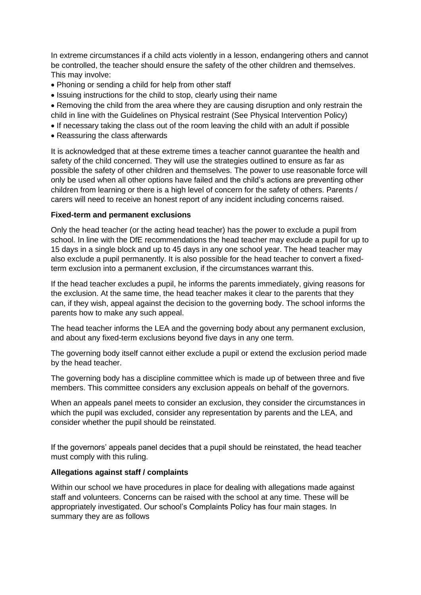In extreme circumstances if a child acts violently in a lesson, endangering others and cannot be controlled, the teacher should ensure the safety of the other children and themselves. This may involve:

- Phoning or sending a child for help from other staff
- Issuing instructions for the child to stop, clearly using their name
- Removing the child from the area where they are causing disruption and only restrain the child in line with the Guidelines on Physical restraint (See Physical Intervention Policy)
- If necessary taking the class out of the room leaving the child with an adult if possible
- Reassuring the class afterwards

It is acknowledged that at these extreme times a teacher cannot guarantee the health and safety of the child concerned. They will use the strategies outlined to ensure as far as possible the safety of other children and themselves. The power to use reasonable force will only be used when all other options have failed and the child's actions are preventing other children from learning or there is a high level of concern for the safety of others. Parents / carers will need to receive an honest report of any incident including concerns raised.

# **Fixed-term and permanent exclusions**

Only the head teacher (or the acting head teacher) has the power to exclude a pupil from school. In line with the DfE recommendations the head teacher may exclude a pupil for up to 15 days in a single block and up to 45 days in any one school year. The head teacher may also exclude a pupil permanently. It is also possible for the head teacher to convert a fixedterm exclusion into a permanent exclusion, if the circumstances warrant this.

If the head teacher excludes a pupil, he informs the parents immediately, giving reasons for the exclusion. At the same time, the head teacher makes it clear to the parents that they can, if they wish, appeal against the decision to the governing body. The school informs the parents how to make any such appeal.

The head teacher informs the LEA and the governing body about any permanent exclusion, and about any fixed-term exclusions beyond five days in any one term.

The governing body itself cannot either exclude a pupil or extend the exclusion period made by the head teacher.

The governing body has a discipline committee which is made up of between three and five members. This committee considers any exclusion appeals on behalf of the governors.

When an appeals panel meets to consider an exclusion, they consider the circumstances in which the pupil was excluded, consider any representation by parents and the LEA, and consider whether the pupil should be reinstated.

If the governors' appeals panel decides that a pupil should be reinstated, the head teacher must comply with this ruling.

# **Allegations against staff / complaints**

Within our school we have procedures in place for dealing with allegations made against staff and volunteers. Concerns can be raised with the school at any time. These will be appropriately investigated. Our school's Complaints Policy has four main stages. In summary they are as follows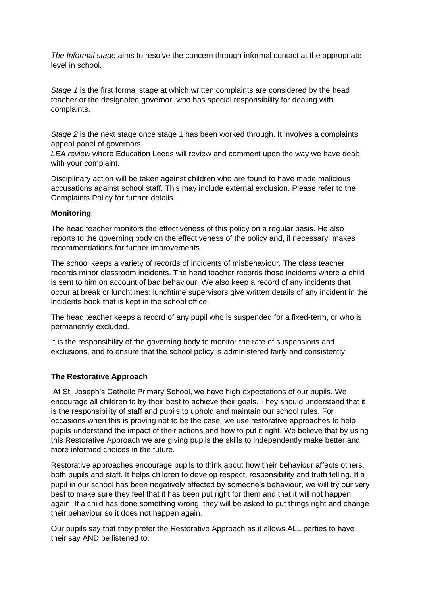*The Informal stage* aims to resolve the concern through informal contact at the appropriate level in school.

*Stage 1* is the first formal stage at which written complaints are considered by the head teacher or the designated governor, who has special responsibility for dealing with complaints.

*Stage 2* is the next stage once stage 1 has been worked through. It involves a complaints appeal panel of governors.

*LEA review* where Education Leeds will review and comment upon the way we have dealt with your complaint.

Disciplinary action will be taken against children who are found to have made malicious accusations against school staff. This may include external exclusion. Please refer to the Complaints Policy for further details.

# **Monitoring**

The head teacher monitors the effectiveness of this policy on a regular basis. He also reports to the governing body on the effectiveness of the policy and, if necessary, makes recommendations for further improvements.

The school keeps a variety of records of incidents of misbehaviour. The class teacher records minor classroom incidents. The head teacher records those incidents where a child is sent to him on account of bad behaviour. We also keep a record of any incidents that occur at break or lunchtimes: lunchtime supervisors give written details of any incident in the incidents book that is kept in the school office.

The head teacher keeps a record of any pupil who is suspended for a fixed-term, or who is permanently excluded.

It is the responsibility of the governing body to monitor the rate of suspensions and exclusions, and to ensure that the school policy is administered fairly and consistently.

# **The Restorative Approach**

At St. Joseph's Catholic Primary School, we have high expectations of our pupils. We encourage all children to try their best to achieve their goals. They should understand that it is the responsibility of staff and pupils to uphold and maintain our school rules. For occasions when this is proving not to be the case, we use restorative approaches to help pupils understand the impact of their actions and how to put it right. We believe that by using this Restorative Approach we are giving pupils the skills to independently make better and more informed choices in the future.

Restorative approaches encourage pupils to think about how their behaviour affects others, both pupils and staff. It helps children to develop respect, responsibility and truth telling. If a pupil in our school has been negatively affected by someone's behaviour, we will try our very best to make sure they feel that it has been put right for them and that it will not happen again. If a child has done something wrong, they will be asked to put things right and change their behaviour so it does not happen again.

Our pupils say that they prefer the Restorative Approach as it allows ALL parties to have their say AND be listened to.